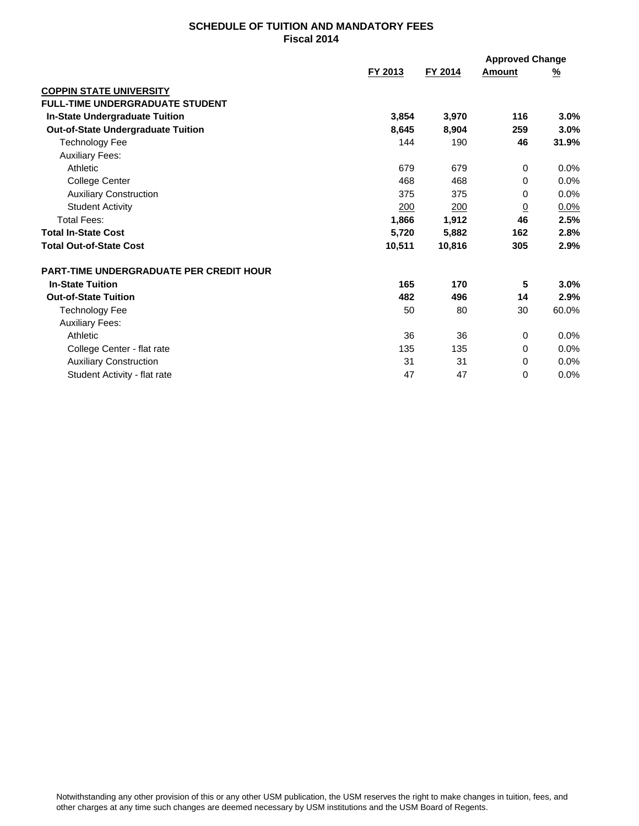## **SCHEDULE OF TUITION AND MANDATORY FEES Fiscal 2014**

|                                           | FY 2013 | FY 2014    | Amount         | <u>%</u> |
|-------------------------------------------|---------|------------|----------------|----------|
| <b>COPPIN STATE UNIVERSITY</b>            |         |            |                |          |
| FULL-TIME UNDERGRADUATE STUDENT           |         |            |                |          |
| <b>In-State Undergraduate Tuition</b>     | 3,854   | 3,970      | 116            | 3.0%     |
| <b>Out-of-State Undergraduate Tuition</b> | 8,645   | 8,904      | 259            | 3.0%     |
| Technology Fee                            | 144     | 190        | 46             | 31.9%    |
| <b>Auxiliary Fees:</b>                    |         |            |                |          |
| Athletic                                  | 679     | 679        | $\Omega$       | $0.0\%$  |
| College Center                            | 468     | 468        | 0              | $0.0\%$  |
| <b>Auxiliary Construction</b>             | 375     | 375        | 0              | 0.0%     |
| <b>Student Activity</b>                   | 200     | <u>200</u> | $\overline{0}$ | 0.0%     |
| Total Fees:                               | 1,866   | 1,912      | 46             | 2.5%     |
| <b>Total In-State Cost</b>                | 5,720   | 5,882      | 162            | 2.8%     |
| <b>Total Out-of-State Cost</b>            | 10,511  | 10,816     | 305            | 2.9%     |
| PART-TIME UNDERGRADUATE PER CREDIT HOUR   |         |            |                |          |
| <b>In-State Tuition</b>                   | 165     | 170        | 5              | 3.0%     |
| <b>Out-of-State Tuition</b>               | 482     | 496        | 14             | 2.9%     |
| <b>Technology Fee</b>                     | 50      | 80         | 30             | 60.0%    |
| <b>Auxiliary Fees:</b>                    |         |            |                |          |
| Athletic                                  | 36      | 36         | 0              | 0.0%     |
| College Center - flat rate                | 135     | 135        | 0              | 0.0%     |
| <b>Auxiliary Construction</b>             | 31      | 31         | 0              | 0.0%     |
| Student Activity - flat rate              | 47      | 47         | 0              | 0.0%     |